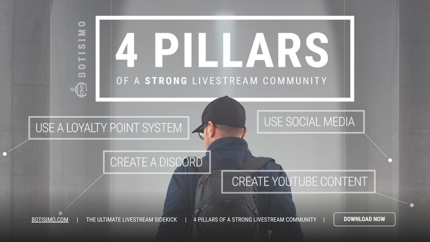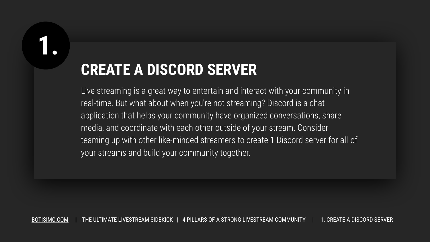#### **CREATE A DISCORD SERVER**

Live streaming is a great way to entertain and interact with your community in real-time. But what about when you're not streaming? Discord is a chat application that helps your community have organized conversations, share media, and coordinate with each other outside of your stream. Consider teaming up with other like-minded streamers to create 1 Discord server for all of your streams and build your community together.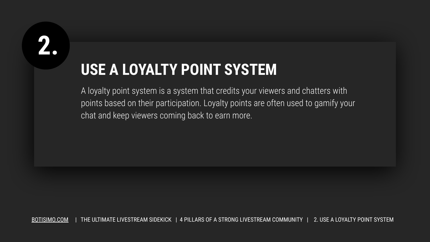## **USE A LOYALTY POINT SYSTEM**

A loyalty point system is a system that credits your viewers and chatters with points based on their participation. Loyalty points are often used to gamify your chat and keep viewers coming back to earn more.

[BOTISIMO.COM](https://botisimo.com/signup) | THE ULTIMATE LIVESTREAM SIDEKICK | 4 PILLARS OF A STRONG LIVESTREAM COMMUNITY | 2. USE A LOYALTY POINT SYSTEM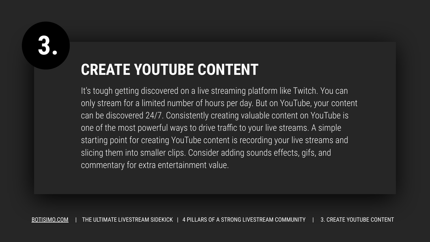## **CREATE YOUTUBE CONTENT**

It's tough getting discovered on a live streaming platform like Twitch. You can only stream for a limited number of hours per day. But on YouTube, your content can be discovered 24/7. Consistently creating valuable content on YouTube is one of the most powerful ways to drive traffic to your live streams. A simple starting point for creating YouTube content is recording your live streams and slicing them into smaller clips. Consider adding sounds effects, gifs, and commentary for extra entertainment value.